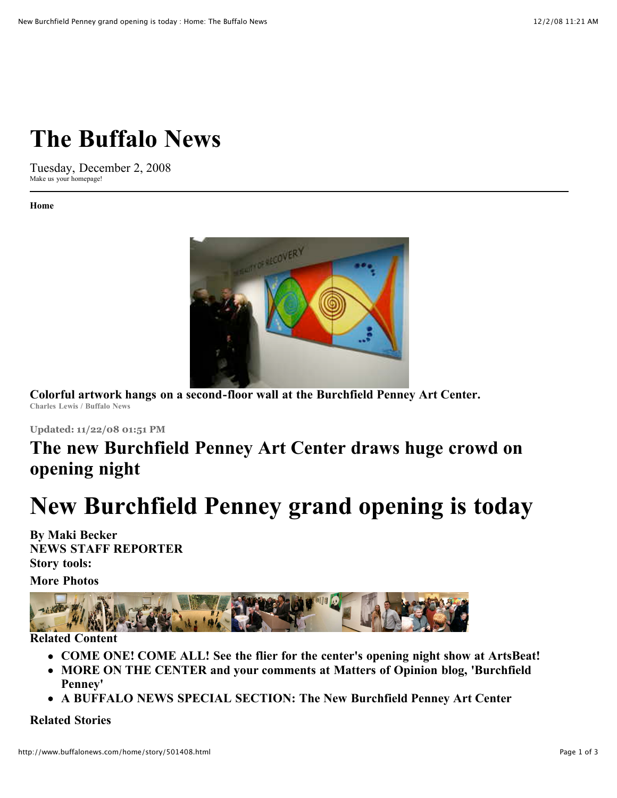# **[The Buffalo News](http://www.buffalonews.com/101/index.html)**

Tuesday, December 2, 2008 Make us your [homepage!](http://www.buffalonews.com/home/story/501408.html#)

**[Home](http://www.buffalonews.com/101/index.html)**



**Colorful artwork hangs on a second-floor wall at the Burchfield Penney Art Center. Charles Lewis / Buffalo News**

**Updated: 11/22/08 01:51 PM**

## **The new Burchfield Penney Art Center draws huge crowd on opening night**

# **New Burchfield Penney grand opening is today**

**By Maki Becker NEWS STAFF REPORTER Story tools:**

**More Photos**



### **Related Content**

- **[COME ONE! COME ALL! See the flier for the center's opening night show at ArtsBeat!](http://buffalonews.typepad.com/artsbeat/2008/11/real-dream-caba.html)**
- **[MORE ON THE CENTER and your comments at Matters of Opinion blog, 'Burchfield](http://buffalonews.typepad.com/opinion/2008/11/burchfield-penn.html) Penney'**
- **[A BUFFALO NEWS SPECIAL SECTION: The New Burchfield Penney Art Center](http://www.buffalonews.com/burchfield/story/493460.html)**

#### **Related Stories**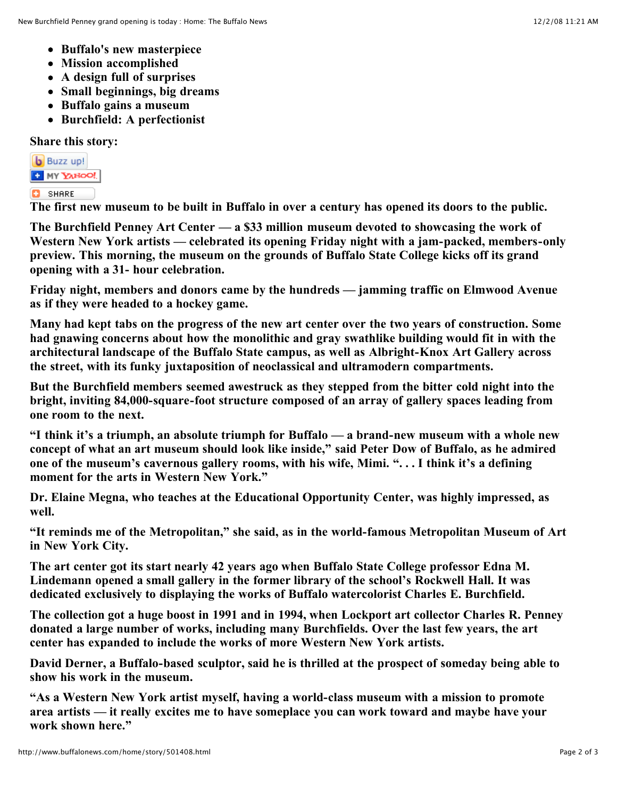- **[Buffalo's new masterpiece](http://www.buffalonews.com/500/story/493621.html)**
- **[Mission accomplished](http://www.buffalonews.com/500/story/493619.html)**
- **[A design full of surprises](http://www.buffalonews.com/500/story/493622.html)**
- **[Small beginnings, big dreams](http://www.buffalonews.com/500/story/493617.html)**
- **[Buffalo gains a museum](http://www.buffalonews.com/149/story/495023.html)**
- **[Burchfield: A perfectionist](http://www.buffalonews.com/500/story/493695.html)**

**Share this story:**

**b** Buzz up!

### **T** MY YAHOO!

**C** SHARE

**The first new museum to be built in Buffalo in over a century has opened its doors to the public.**

**The Burchfield Penney Art Center — a \$33 million museum devoted to showcasing the work of Western New York artists — celebrated its opening Friday night with a jam-packed, members-only preview. This morning, the museum on the grounds of Buffalo State College kicks off its grand opening with a 31- hour celebration.**

**Friday night, members and donors came by the hundreds — jamming traffic on Elmwood Avenue as if they were headed to a hockey game.**

**Many had kept tabs on the progress of the new art center over the two years of construction. Some had gnawing concerns about how the monolithic and gray swathlike building would fit in with the architectural landscape of the Buffalo State campus, as well as Albright-Knox Art Gallery across the street, with its funky juxtaposition of neoclassical and ultramodern compartments.**

**But the Burchfield members seemed awestruck as they stepped from the bitter cold night into the bright, inviting 84,000-square-foot structure composed of an array of gallery spaces leading from one room to the next.**

**"I think it's a triumph, an absolute triumph for Buffalo — a brand-new museum with a whole new concept of what an art museum should look like inside," said Peter Dow of Buffalo, as he admired one of the museum's cavernous gallery rooms, with his wife, Mimi. ". . . I think it's a defining moment for the arts in Western New York."**

**Dr. Elaine Megna, who teaches at the Educational Opportunity Center, was highly impressed, as well.**

**"It reminds me of the Metropolitan," she said, as in the world-famous Metropolitan Museum of Art in New York City.**

**The art center got its start nearly 42 years ago when Buffalo State College professor Edna M. Lindemann opened a small gallery in the former library of the school's Rockwell Hall. It was dedicated exclusively to displaying the works of Buffalo watercolorist Charles E. Burchfield.**

**The collection got a huge boost in 1991 and in 1994, when Lockport art collector Charles R. Penney donated a large number of works, including many Burchfields. Over the last few years, the art center has expanded to include the works of more Western New York artists.**

**David Derner, a Buffalo-based sculptor, said he is thrilled at the prospect of someday being able to show his work in the museum.**

**"As a Western New York artist myself, having a world-class museum with a mission to promote area artists — it really excites me to have someplace you can work toward and maybe have your work shown here."**